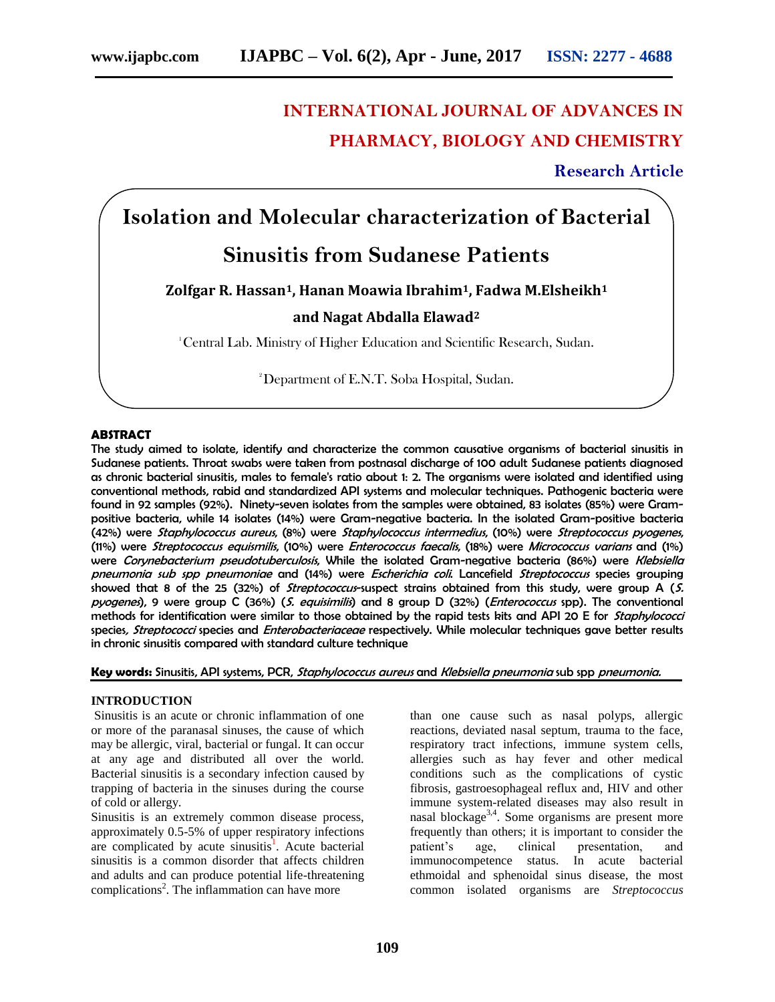## **INTERNATIONAL JOURNAL OF ADVANCES IN PHARMACY, BIOLOGY AND CHEMISTRY**

**Research Article**

# **Isolation and Molecular characterization of Bacterial**

# **Sinusitis from Sudanese Patients**

## **Zolfgar R. Hassan1, Hanan Moawia Ibrahim1, Fadwa M.Elsheikh<sup>1</sup>**

### **and Nagat Abdalla Elawad<sup>2</sup>**

<sup>1</sup>Central Lab. Ministry of Higher Education and Scientific Research, Sudan.

<sup>2</sup>Department of E.N.T. Soba Hospital, Sudan.

#### **ABSTRACT**

The study aimed to isolate, identify and characterize the common causative organisms of bacterial sinusitis in Sudanese patients. Throat swabs were taken from postnasal discharge of 100 adult Sudanese patients diagnosed as chronic bacterial sinusitis, males to female's ratio about 1: 2. The organisms were isolated and identified using conventional methods, rabid and standardized API systems and molecular techniques. Pathogenic bacteria were found in 92 samples (92%). Ninety-seven isolates from the samples were obtained, 83 isolates (85%) were Grampositive bacteria, while 14 isolates (14%) were Gram-negative bacteria. In the isolated Gram-positive bacteria (42%) were Staphylococcus aureus, (8%) were Staphylococcus intermedius, (10%) were Streptococcus pyogenes, (11%) were Streptococcus equismilis, (10%) were Enterococcus faecalis, (18%) were Micrococcus varians and (1%) were Corynebacterium pseudotuberculosis, While the isolated Gram-negative bacteria (86%) were Klebsiella pneumonia sub spp pneumoniae and (14%) were Escherichia coli. Lancefield Streptococcus species grouping showed that 8 of the 25 (32%) of *Streptococcus*-suspect strains obtained from this study, were group A ( $S$ . pyogenes), 9 were group C (36%) (S. equisimilis) and 8 group D (32%) (Enterococcus spp). The conventional methods for identification were similar to those obtained by the rapid tests kits and API 20 E for Staphylococci species, Streptococci species and Enterobacteriaceae respectively. While molecular techniques gave better results in chronic sinusitis compared with standard culture technique

Key words: Sinusitis, API systems, PCR, Staphylococcus aureus and Klebsiella pneumonia sub spp pneumonia.

#### **INTRODUCTION**

Sinusitis is an acute or chronic inflammation of one or more of the paranasal sinuses, the cause of which may be allergic, viral, bacterial or fungal. It can occur at any age and distributed all over the world. Bacterial sinusitis is a secondary infection caused by trapping of bacteria in the sinuses during the course of cold or allergy.

Sinusitis is an extremely common disease process, approximately 0.5-5% of upper respiratory infections are complicated by acute sinusitis<sup>1</sup>. Acute bacterial sinusitis is a common disorder that affects children and adults and can produce potential life-threatening complications<sup>2</sup>. The inflammation can have more

than one cause such as nasal polyps, allergic reactions, deviated nasal septum, trauma to the face, respiratory tract infections, immune system cells, allergies such as hay fever and other medical conditions such as the complications of cystic fibrosis, gastroesophageal reflux and, HIV and other immune system-related diseases may also result in nasal blockage<sup>3,4</sup>. Some organisms are present more frequently than others; it is important to consider the patient's age, clinical presentation, and immunocompetence status. In acute bacterial ethmoidal and sphenoidal sinus disease, the most common isolated organisms are *Streptococcus*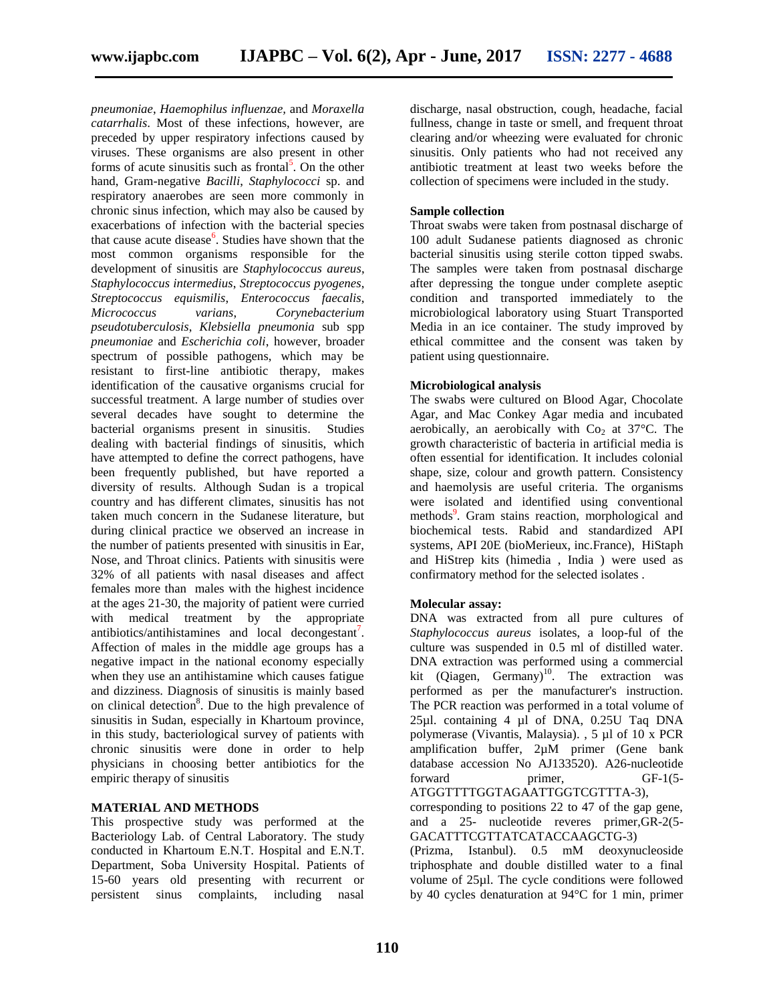*pneumoniae*, *Haemophilus influenzae,* and *Moraxella catarrhalis*. Most of these infections, however, are preceded by upper respiratory infections caused by viruses. These organisms are also present in other forms of acute sinusitis such as frontal<sup>5</sup>. On the other hand, Gram-negative *Bacilli*, *Staphylococci* sp. and respiratory anaerobes are seen more commonly in chronic sinus infection, which may also be caused by exacerbations of infection with the bacterial species that cause acute disease<sup>6</sup>. Studies have shown that the most common organisms responsible for the development of sinusitis are *Staphylococcus aureus*, *Staphylococcus intermedius*, *Streptococcus pyogenes*, *Streptococcus equismilis*, *Enterococcus faecalis*, *Micrococcus varians*, *Corynebacterium pseudotuberculosis*, *Klebsiella pneumonia* sub spp *pneumoniae* and *Escherichia coli*, however, broader spectrum of possible pathogens, which may be resistant to first-line antibiotic therapy, makes identification of the causative organisms crucial for successful treatment. A large number of studies over several decades have sought to determine the bacterial organisms present in sinusitis. Studies dealing with bacterial findings of sinusitis, which have attempted to define the correct pathogens, have been frequently published, but have reported a diversity of results. Although Sudan is a tropical country and has different climates, sinusitis has not taken much concern in the Sudanese literature, but during clinical practice we observed an increase in the number of patients presented with sinusitis in Ear, Nose, and Throat clinics. Patients with sinusitis were 32% of all patients with nasal diseases and affect females more than males with the highest incidence at the ages 21-30, the majority of patient were curried with medical treatment by the appropriate antibiotics/antihistamines and local decongestant<sup>7</sup>. Affection of males in the middle age groups has a negative impact in the national economy especially when they use an antihistamine which causes fatigue and dizziness. Diagnosis of sinusitis is mainly based on clinical detection<sup>8</sup>. Due to the high prevalence of sinusitis in Sudan, especially in Khartoum province, in this study, bacteriological survey of patients with chronic sinusitis were done in order to help physicians in choosing better antibiotics for the empiric therapy of sinusitis

#### **MATERIAL AND METHODS**

This prospective study was performed at the Bacteriology Lab. of Central Laboratory. The study conducted in Khartoum E.N.T. Hospital and E.N.T. Department, Soba University Hospital. Patients of 15-60 years old presenting with recurrent or persistent sinus complaints, including nasal

discharge, nasal obstruction, cough, headache, facial fullness, change in taste or smell, and frequent throat clearing and/or wheezing were evaluated for chronic sinusitis. Only patients who had not received any antibiotic treatment at least two weeks before the collection of specimens were included in the study.

#### **Sample collection**

Throat swabs were taken from postnasal discharge of 100 adult Sudanese patients diagnosed as chronic bacterial sinusitis using sterile cotton tipped swabs. The samples were taken from postnasal discharge after depressing the tongue under complete aseptic condition and transported immediately to the microbiological laboratory using Stuart Transported Media in an ice container. The study improved by ethical committee and the consent was taken by patient using questionnaire.

#### **Microbiological analysis**

The swabs were cultured on Blood Agar, Chocolate Agar, and Mac Conkey Agar media and incubated aerobically, an aerobically with  $Co<sub>2</sub>$  at 37°C. The growth characteristic of bacteria in artificial media is often essential for identification. It includes colonial shape, size, colour and growth pattern. Consistency and haemolysis are useful criteria. The organisms were isolated and identified using conventional methods<sup>9</sup>. Gram stains reaction, morphological and biochemical tests. Rabid and standardized API systems, API 20E (bioMerieux, inc.France), HiStaph and HiStrep kits (himedia , India ) were used as confirmatory method for the selected isolates .

#### **Molecular assay:**

DNA was extracted from all pure cultures of *Staphylococcus aureus* isolates, a loop-ful of the culture was suspended in 0.5 ml of distilled water. DNA extraction was performed using a commercial kit (Qiagen, Germany)<sup>10</sup>. The extraction was performed as per the manufacturer's instruction. The PCR reaction was performed in a total volume of 25µl. containing 4 µl of DNA, 0.25U Taq DNA polymerase (Vivantis, Malaysia). , 5 µl of 10 x PCR amplification buffer, 2µM primer (Gene bank database accession No AJ133520). A26-nucleotide forward primer, GF-1(5-ATGGTTTTGGTAGAATTGGTCGTTTA-3),

corresponding to positions 22 to 47 of the gap gene, and a 25- nucleotide reveres primer,GR-2(5- GACATTTCGTTATCATACCAAGCTG-3)

(Prizma, Istanbul). 0.5 mM deoxynucleoside triphosphate and double distilled water to a final volume of 25µl. The cycle conditions were followed by 40 cycles denaturation at 94°C for 1 min, primer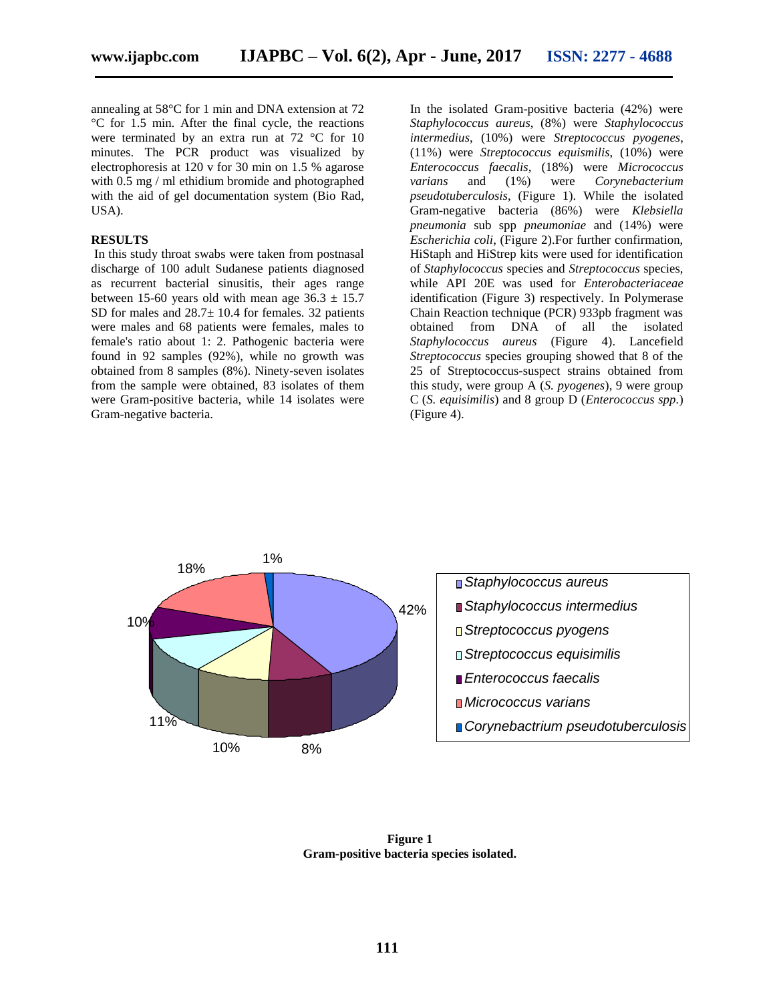annealing at 58°C for 1 min and DNA extension at 72 °C for 1.5 min. After the final cycle, the reactions were terminated by an extra run at 72 °C for 10 minutes. The PCR product was visualized by electrophoresis at 120 v for 30 min on 1.5 % agarose with 0.5 mg / ml ethidium bromide and photographed with the aid of gel documentation system (Bio Rad, USA).

#### **RESULTS**

In this study throat swabs were taken from postnasal discharge of 100 adult Sudanese patients diagnosed as recurrent bacterial sinusitis, their ages range between 15-60 years old with mean age  $36.3 \pm 15.7$ SD for males and  $28.7\pm 10.4$  for females. 32 patients were males and 68 patients were females, males to female's ratio about 1: 2. Pathogenic bacteria were found in 92 samples (92%), while no growth was obtained from 8 samples (8%). Ninety-seven isolates from the sample were obtained, 83 isolates of them were Gram-positive bacteria, while 14 isolates were Gram-negative bacteria.

In the isolated Gram-positive bacteria (42%) were *Staphylococcus aureus*, (8%) were *Staphylococcus intermedius*, (10%) were *Streptococcus pyogenes*, (11%) were *Streptococcus equismilis*, (10%) were *Enterococcus faecalis*, (18%) were *Micrococcus varians* and (1%) were *Corynebacterium pseudotuberculosis*, (Figure 1). While the isolated Gram-negative bacteria (86%) were *Klebsiella pneumonia* sub spp *pneumoniae* and (14%) were *Escherichia coli*, (Figure 2).For further confirmation, HiStaph and HiStrep kits were used for identification of *Staphylococcus* species and *Streptococcus* species, while API 20E was used for *Enterobacteriaceae* identification (Figure 3) respectively. In Polymerase Chain Reaction technique (PCR) 933pb fragment was obtained from DNA of all the isolated *Staphylococcus aureus* (Figure 4). Lancefield *Streptococcus* species grouping showed that 8 of the 25 of Streptococcus-suspect strains obtained from this study, were group A (*S. pyogenes*), 9 were group C (*S. equisimilis*) and 8 group D (*Enterococcus spp.*) (Figure 4).



**Figure 1 Gram-positive bacteria species isolated.**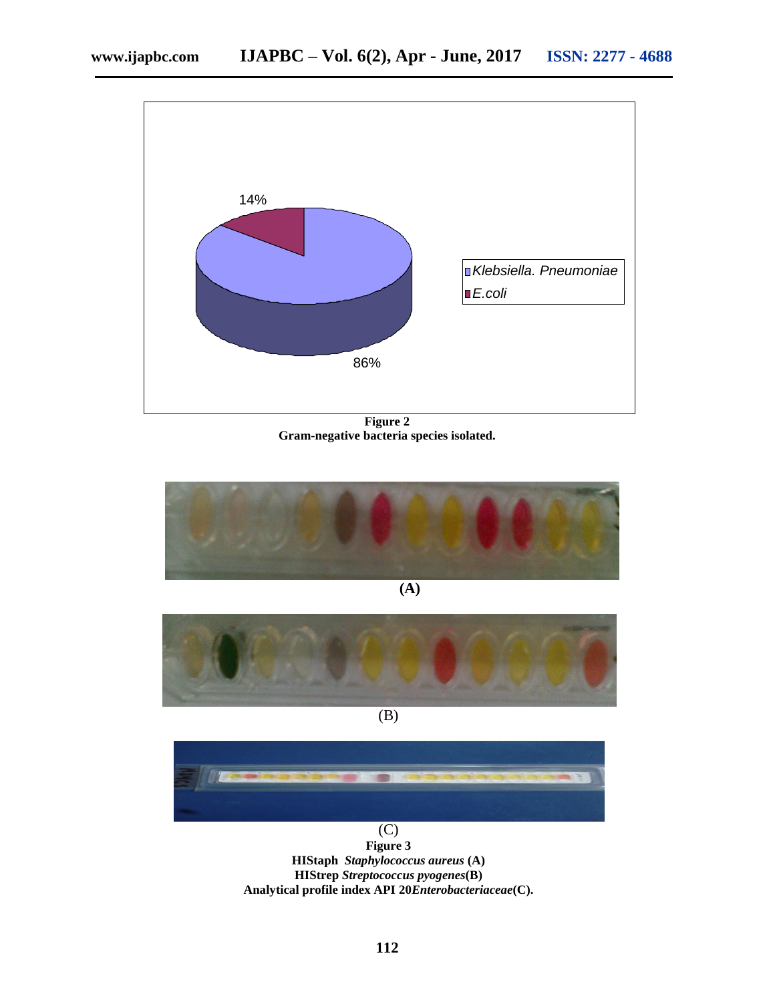

**Figure 2 Gram-negative bacteria species isolated.**



**(A)**



 $\overline{(B)}$ 



(C) **Figure 3 HIStaph** *Staphylococcus aureus* **(A) HIStrep** *Streptococcus pyogenes***(B) Analytical profile index API 20***Enterobacteriaceae***(C).**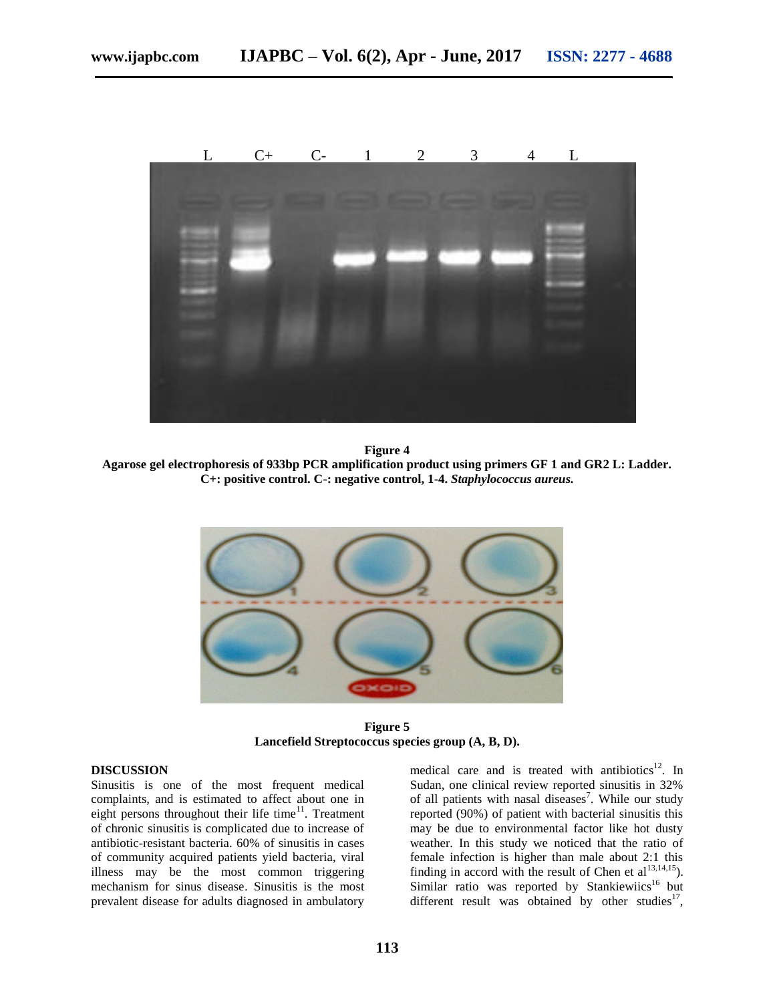

#### **Figure 4**

**Agarose gel electrophoresis of 933bp PCR amplification product using primers GF 1 and GR2 L: Ladder. C+: positive control. C-: negative control, 1-4.** *Staphylococcus aureus.*



**Figure 5 Lancefield Streptococcus species group (A, B, D).**

#### **DISCUSSION**

Sinusitis is one of the most frequent medical complaints, and is estimated to affect about one in eight persons throughout their life time $11$ . Treatment of chronic sinusitis is complicated due to increase of antibiotic-resistant bacteria. 60% of sinusitis in cases of community acquired patients yield bacteria, viral illness may be the most common triggering mechanism for sinus disease. Sinusitis is the most prevalent disease for adults diagnosed in ambulatory

medical care and is treated with antibiotics<sup>12</sup>. In Sudan, one clinical review reported sinusitis in 32% of all patients with nasal diseases<sup>7</sup>. While our study reported (90%) of patient with bacterial sinusitis this may be due to environmental factor like hot dusty weather. In this study we noticed that the ratio of female infection is higher than male about 2:1 this finding in accord with the result of Chen et  $al^{13,14,15}$ ). Similar ratio was reported by Stankiewiics<sup>16</sup> but different result was obtained by other studies $^{17}$ ,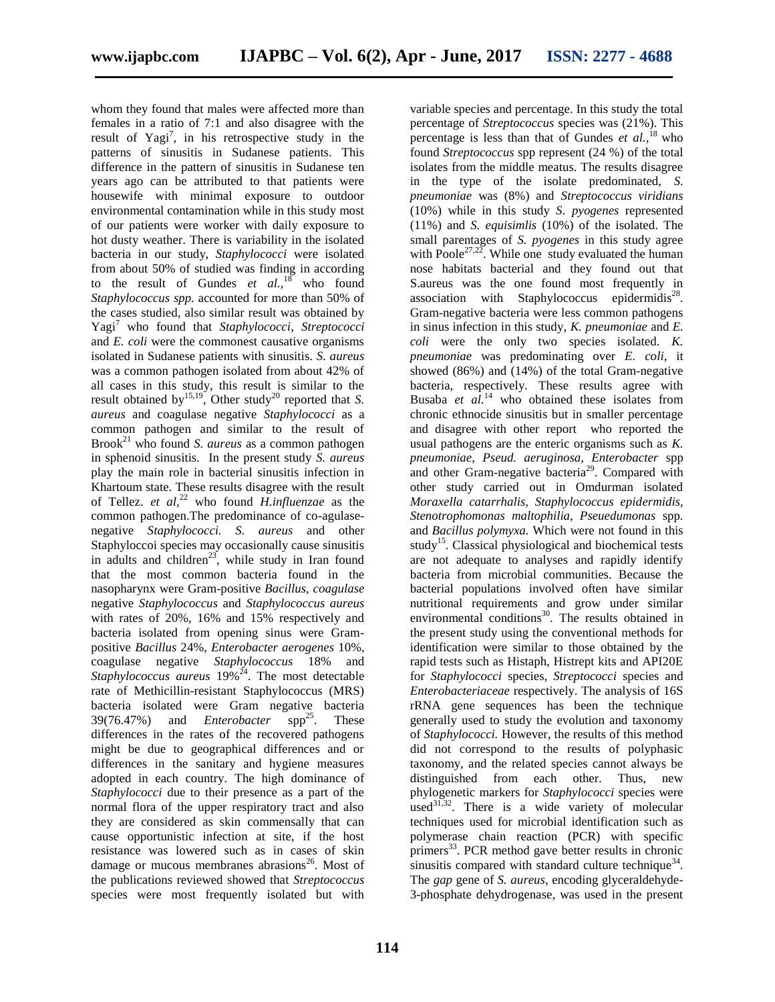whom they found that males were affected more than females in a ratio of 7:1 and also disagree with the result of  $Yagi^7$ , in his retrospective study in the patterns of sinusitis in Sudanese patients. This difference in the pattern of sinusitis in Sudanese ten years ago can be attributed to that patients were housewife with minimal exposure to outdoor environmental contamination while in this study most of our patients were worker with daily exposure to hot dusty weather. There is variability in the isolated bacteria in our study, *Staphylococci* were isolated from about 50% of studied was finding in according to the result of Gundes  $et \ al.^{18}$  who found *Staphylococcus spp.* accounted for more than 50% of the cases studied, also similar result was obtained by Yagi<sup>7</sup> who found that *Staphylococci*, *Streptococci* and *E. coli* were the commonest causative organisms isolated in Sudanese patients with sinusitis. *S. aureus* was a common pathogen isolated from about 42% of all cases in this study, this result is similar to the result obtained by <sup>15,19</sup>, Other study<sup>20</sup> reported that *S*. *aureus* and coagulase negative *Staphylococci* as a common pathogen and similar to the result of Brook<sup>21</sup> who found *S. aureus* as a common pathogen in sphenoid sinusitis. In the present study *S. aureus* play the main role in bacterial sinusitis infection in Khartoum state. These results disagree with the result of Tellez. *et al*, <sup>22</sup> who found *H.influenzae* as the common pathogen.The predominance of co-agulasenegative *Staphylococci. S. aureus* and other Staphyloccoi species may occasionally cause sinusitis in adults and children<sup>23</sup>, while study in Iran found that the most common bacteria found in the nasopharynx were Gram-positive *Bacillus, coagulase* negative *Staphylococcus* and *Staphylococcus aureus* with rates of 20%, 16% and 15% respectively and bacteria isolated from opening sinus were Grampositive *Bacillus* 24%, *Enterobacter aerogenes* 10%, coagulase negative *Staphylococcus* 18% and Staphylococcus aureus 19%<sup>24</sup>. The most detectable rate of Methicillin-resistant Staphylococcus (MRS) bacteria isolated were Gram negative bacteria 39(76.47%) and *Enterobacter* spp<sup>25</sup>. These differences in the rates of the recovered pathogens might be due to geographical differences and or differences in the sanitary and hygiene measures adopted in each country. The high dominance of *Staphylococci* due to their presence as a part of the normal flora of the upper respiratory tract and also they are considered as skin commensally that can cause opportunistic infection at site, if the host resistance was lowered such as in cases of skin damage or mucous membranes abrasions<sup>26</sup>. Most of the publications reviewed showed that *Streptococcus* species were most frequently isolated but with

variable species and percentage. In this study the total percentage of *Streptococcus* species was (21%). This percentage is less than that of Gundes *et al.,*<sup>18</sup>who found *Streptococcus* spp represent (24 %) of the total isolates from the middle meatus. The results disagree in the type of the isolate predominated, *S. pneumoniae* was (8%) and *Streptococcus viridians* (10%) while in this study *S. pyogenes* represented (11%) and *S. equisimlis* (10%) of the isolated. The small parentages of *S. pyogenes* in this study agree with Poole<sup>27,22</sup>. While one study evaluated the human nose habitats bacterial and they found out that S.aureus was the one found most frequently in association with Staphylococcus epidermidis<sup>28</sup>. Gram-negative bacteria were less common pathogens in sinus infection in this study, *K. pneumoniae* and *E. coli* were the only two species isolated. *K. pneumoniae* was predominating over *E. coli,* it showed (86%) and (14%) of the total Gram-negative bacteria, respectively. These results agree with Busaba *et al.*<sup>14</sup> who obtained these isolates from chronic ethnocide sinusitis but in smaller percentage and disagree with other report who reported the usual pathogens are the enteric organisms such as *K. pneumoniae*, *Pseud. aeruginosa, Enterobacter* spp and other Gram-negative bacteria<sup>29</sup>. Compared with other study carried out in Omdurman isolated *Moraxella catarrhalis, Staphylococcus epidermidis, Stenotrophomonas maltophilia, Pseuedumonas* spp*.*  and *Bacillus polymyxa.* Which were not found in this study<sup>15</sup>. Classical physiological and biochemical tests are not adequate to analyses and rapidly identify bacteria from microbial communities. Because the bacterial populations involved often have similar nutritional requirements and grow under similar environmental conditions<sup>30</sup>. The results obtained in the present study using the conventional methods for identification were similar to those obtained by the rapid tests such as Histaph, Histrept kits and API20E for *Staphylococci* species*, Streptococci* species and *Enterobacteriaceae* respectively. The analysis of 16S rRNA gene sequences has been the technique generally used to study the evolution and taxonomy of *Staphylococci.* However, the results of this method did not correspond to the results of polyphasic taxonomy, and the related species cannot always be distinguished from each other. Thus, new phylogenetic markers for *Staphylococci* species were used<sup>31,32</sup>. There is a wide variety of molecular techniques used for microbial identification such as polymerase chain reaction (PCR) with specific primers<sup>33</sup>. PCR method gave better results in chronic sinusitis compared with standard culture technique $34$ . The *gap* gene of *S. aureus*, encoding glyceraldehyde-3-phosphate dehydrogenase, was used in the present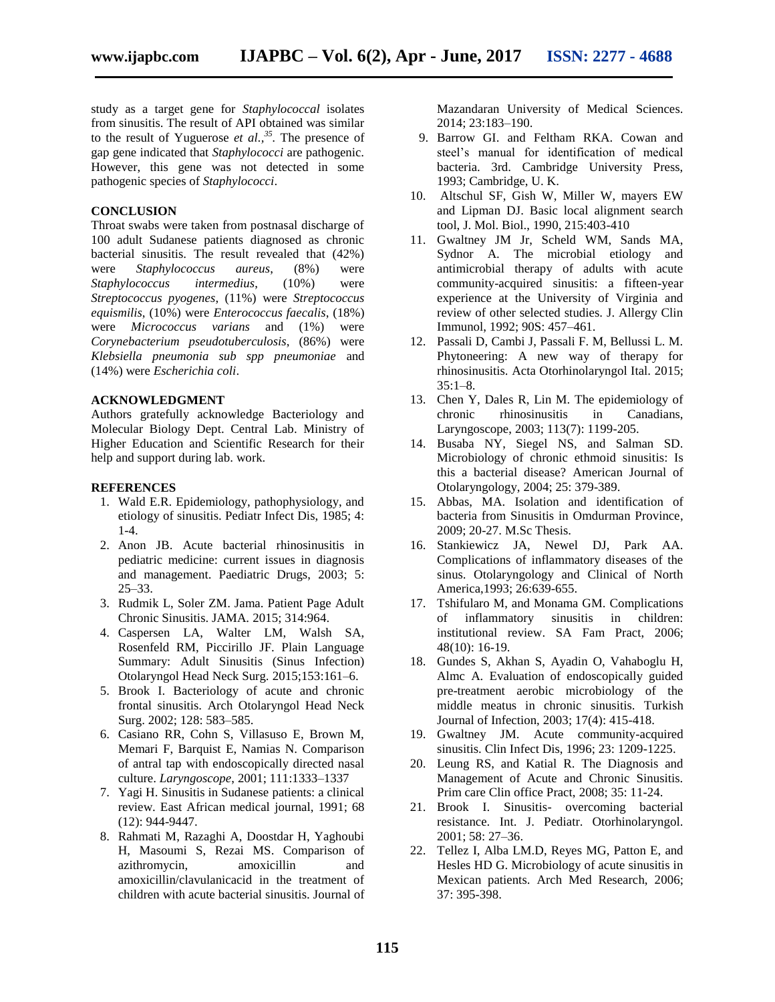study as a target gene for *Staphylococcal* isolates from sinusitis. The result of API obtained was similar to the result of Yuguerose *et al.*,<sup>35</sup>. The presence of gap gene indicated that *Staphylococci* are pathogenic. However, this gene was not detected in some pathogenic species of *Staphylococci*.

#### **CONCLUSION**

Throat swabs were taken from postnasal discharge of 100 adult Sudanese patients diagnosed as chronic bacterial sinusitis. The result revealed that (42%) were *Staphylococcus aureus*, (8%) were *Staphylococcus intermedius*, (10%) were *Streptococcus pyogenes*, (11%) were *Streptococcus equismilis*, (10%) were *Enterococcus faecalis*, (18%) were *Micrococcus varians* and (1%) were *Corynebacterium pseudotuberculosis*, (86%) were *Klebsiella pneumonia sub spp pneumoniae* and (14%) were *Escherichia coli*.

#### **ACKNOWLEDGMENT**

Authors gratefully acknowledge Bacteriology and Molecular Biology Dept. Central Lab. Ministry of Higher Education and Scientific Research for their help and support during lab. work.

#### **REFERENCES**

- 1. Wald E.R. Epidemiology, pathophysiology, and etiology of sinusitis. Pediatr Infect Dis, 1985; 4: 1-4.
- 2. Anon JB. Acute bacterial rhinosinusitis in pediatric medicine: current issues in diagnosis and management. Paediatric Drugs, 2003; 5: 25–33.
- 3. Rudmik L, Soler ZM. Jama. Patient Page Adult Chronic Sinusitis. JAMA. 2015; 314:964.
- 4. Caspersen LA, Walter LM, Walsh SA, Rosenfeld RM, Piccirillo JF. Plain Language Summary: Adult Sinusitis (Sinus Infection) Otolaryngol Head Neck Surg. 2015;153:161–6.
- 5. Brook I. Bacteriology of acute and chronic frontal sinusitis. Arch Otolaryngol Head Neck Surg. 2002; 128: 583–585.
- 6. Casiano RR, Cohn S, Villasuso E, Brown M, Memari F, Barquist E, Namias N. Comparison of antral tap with endoscopically directed nasal culture. *Laryngoscope*, 2001; 111:1333–1337
- 7. Yagi H. Sinusitis in Sudanese patients: a clinical review. East African medical journal, 1991; 68 (12): 944-9447.
- 8. Rahmati M, Razaghi A, Doostdar H, Yaghoubi H, Masoumi S, Rezai MS. Comparison of azithromycin, amoxicillin and amoxicillin/clavulanicacid in the treatment of children with acute bacterial sinusitis. Journal of

Mazandaran University of Medical Sciences. 2014; 23:183–190.

- 9. Barrow GI. and Feltham RKA. Cowan and steel's manual for identification of medical bacteria. 3rd. Cambridge University Press, 1993; Cambridge, U. K.
- 10. Altschul SF, Gish W, Miller W, mayers EW and Lipman DJ. Basic local alignment search tool, J. Mol. Biol., 1990, 215:403-410
- 11. Gwaltney JM Jr, Scheld WM, Sands MA, Sydnor A. The microbial etiology and antimicrobial therapy of adults with acute community-acquired sinusitis: a fifteen-year experience at the University of Virginia and review of other selected studies. J. Allergy Clin Immunol, 1992; 90S: 457–461.
- 12. Passali D, Cambi J, Passali F. M, Bellussi L. M. Phytoneering: A new way of therapy for rhinosinusitis. Acta Otorhinolaryngol Ital. 2015;  $35:1-8.$
- 13. Chen Y, Dales R, Lin M. The epidemiology of chronic rhinosinusitis in Canadians, Laryngoscope, 2003; 113(7): 1199-205.
- 14. Busaba NY, Siegel NS, and Salman SD. Microbiology of chronic ethmoid sinusitis: Is this a bacterial disease? American Journal of Otolaryngology, 2004; 25: 379-389.
- 15. Abbas, MA. Isolation and identification of bacteria from Sinusitis in Omdurman Province, 2009; 20-27. M.Sc Thesis.
- 16. Stankiewicz JA, Newel DJ, Park AA. Complications of inflammatory diseases of the sinus. Otolaryngology and Clinical of North America,1993; 26:639-655.
- 17. Tshifularo M, and Monama GM. Complications of inflammatory sinusitis in children: institutional review. SA Fam Pract, 2006; 48(10): 16-19.
- 18. Gundes S, Akhan S, Ayadin O, Vahaboglu H, Almc A. Evaluation of endoscopically guided pre-treatment aerobic microbiology of the middle meatus in chronic sinusitis. Turkish Journal of Infection, 2003; 17(4): 415-418.
- 19. Gwaltney JM. Acute community-acquired sinusitis. Clin Infect Dis, 1996; 23: 1209-1225.
- 20. Leung RS, and Katial R. The Diagnosis and Management of Acute and Chronic Sinusitis. Prim care Clin office Pract, 2008; 35: 11-24.
- 21. Brook I. Sinusitis- overcoming bacterial resistance. Int. J. Pediatr. Otorhinolaryngol. 2001; 58: 27–36.
- 22. Tellez I, Alba LM.D, Reyes MG, Patton E, and Hesles HD G. Microbiology of acute sinusitis in Mexican patients. Arch Med Research, 2006; 37: 395-398.